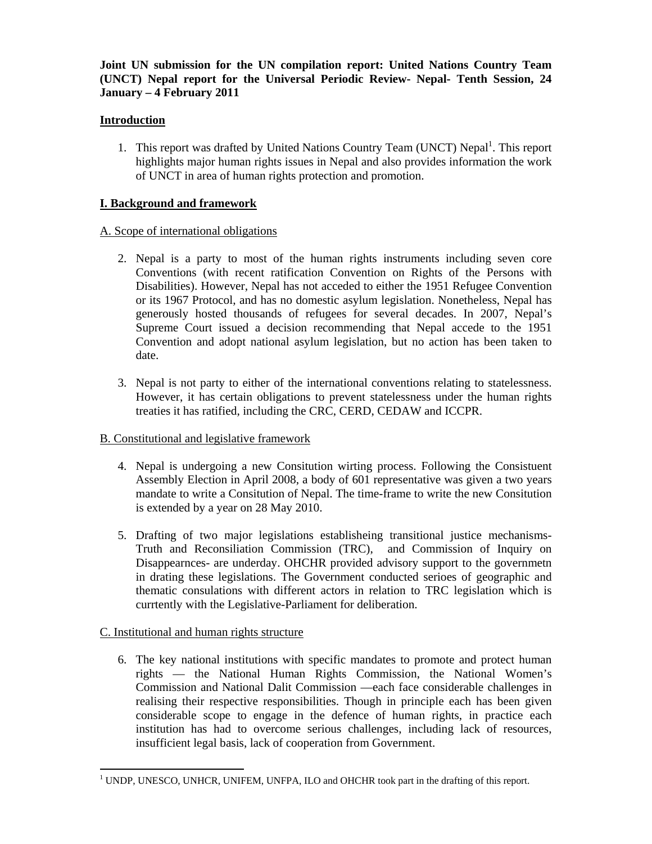# **Joint UN submission for the UN compilation report: United Nations Country Team (UNCT) Nepal report for the Universal Periodic Review- Nepal- Tenth Session, 24 January – 4 February 2011**

# **Introduction**

1. This report was drafted by United Nations Country Team (UNCT) Nepal<sup>1</sup>. This report highlights major human rights issues in Nepal and also provides information the work of UNCT in area of human rights protection and promotion.

# **I. Background and framework**

# A. Scope of international obligations

- 2. Nepal is a party to most of the human rights instruments including seven core Conventions (with recent ratification Convention on Rights of the Persons with Disabilities). However, Nepal has not acceded to either the 1951 Refugee Convention or its 1967 Protocol, and has no domestic asylum legislation. Nonetheless, Nepal has generously hosted thousands of refugees for several decades. In 2007, Nepal's Supreme Court issued a decision recommending that Nepal accede to the 1951 Convention and adopt national asylum legislation, but no action has been taken to date.
- 3. Nepal is not party to either of the international conventions relating to statelessness. However, it has certain obligations to prevent statelessness under the human rights treaties it has ratified, including the CRC, CERD, CEDAW and ICCPR.

# B. Constitutional and legislative framework

- 4. Nepal is undergoing a new Consitution wirting process. Following the Consistuent Assembly Election in April 2008, a body of 601 representative was given a two years mandate to write a Consitution of Nepal. The time-frame to write the new Consitution is extended by a year on 28 May 2010.
- 5. Drafting of two major legislations establisheing transitional justice mechanisms-Truth and Reconsiliation Commission (TRC), and Commission of Inquiry on Disappearnces- are underday. OHCHR provided advisory support to the governmetn in drating these legislations. The Government conducted serioes of geographic and thematic consulations with different actors in relation to TRC legislation which is currtently with the Legislative-Parliament for deliberation.

# C. Institutional and human rights structure

6. The key national institutions with specific mandates to promote and protect human rights — the National Human Rights Commission, the National Women's Commission and National Dalit Commission —each face considerable challenges in realising their respective responsibilities. Though in principle each has been given considerable scope to engage in the defence of human rights, in practice each institution has had to overcome serious challenges, including lack of resources, insufficient legal basis, lack of cooperation from Government.

<sup>-</sup><sup>1</sup> UNDP, UNESCO, UNHCR, UNIFEM, UNFPA, ILO and OHCHR took part in the drafting of this report.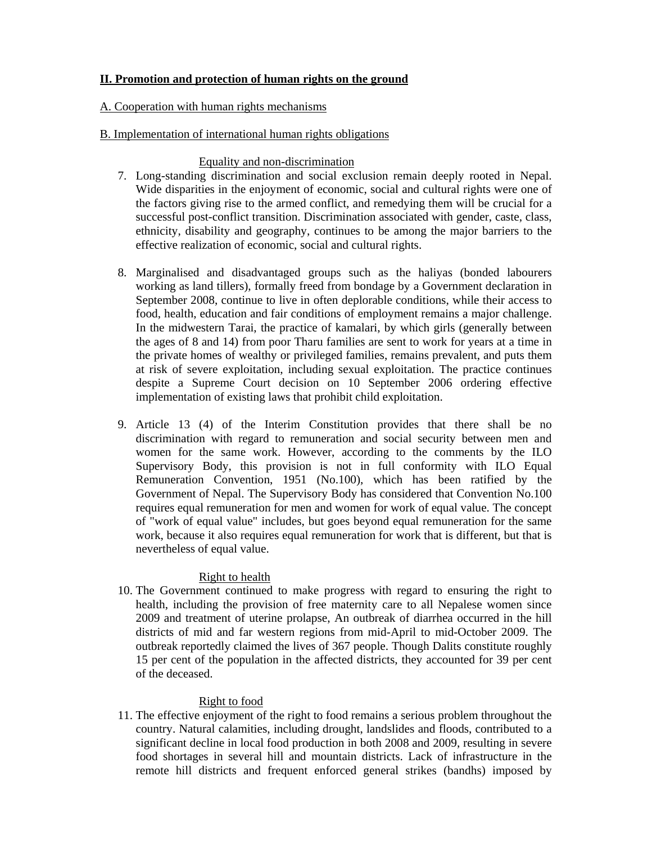# **II. Promotion and protection of human rights on the ground**

## A. Cooperation with human rights mechanisms

## B. Implementation of international human rights obligations

## Equality and non-discrimination

- 7. Long-standing discrimination and social exclusion remain deeply rooted in Nepal. Wide disparities in the enjoyment of economic, social and cultural rights were one of the factors giving rise to the armed conflict, and remedying them will be crucial for a successful post-conflict transition. Discrimination associated with gender, caste, class, ethnicity, disability and geography, continues to be among the major barriers to the effective realization of economic, social and cultural rights.
- 8. Marginalised and disadvantaged groups such as the haliyas (bonded labourers working as land tillers), formally freed from bondage by a Government declaration in September 2008, continue to live in often deplorable conditions, while their access to food, health, education and fair conditions of employment remains a major challenge. In the midwestern Tarai, the practice of kamalari, by which girls (generally between the ages of 8 and 14) from poor Tharu families are sent to work for years at a time in the private homes of wealthy or privileged families, remains prevalent, and puts them at risk of severe exploitation, including sexual exploitation. The practice continues despite a Supreme Court decision on 10 September 2006 ordering effective implementation of existing laws that prohibit child exploitation.
- 9. Article 13 (4) of the Interim Constitution provides that there shall be no discrimination with regard to remuneration and social security between men and women for the same work. However, according to the comments by the ILO Supervisory Body, this provision is not in full conformity with ILO Equal Remuneration Convention, 1951 (No.100), which has been ratified by the Government of Nepal. The Supervisory Body has considered that Convention No.100 requires equal remuneration for men and women for work of equal value. The concept of "work of equal value" includes, but goes beyond equal remuneration for the same work, because it also requires equal remuneration for work that is different, but that is nevertheless of equal value.

# Right to health

10. The Government continued to make progress with regard to ensuring the right to health, including the provision of free maternity care to all Nepalese women since 2009 and treatment of uterine prolapse, An outbreak of diarrhea occurred in the hill districts of mid and far western regions from mid-April to mid-October 2009. The outbreak reportedly claimed the lives of 367 people. Though Dalits constitute roughly 15 per cent of the population in the affected districts, they accounted for 39 per cent of the deceased.

# Right to food

11. The effective enjoyment of the right to food remains a serious problem throughout the country. Natural calamities, including drought, landslides and floods, contributed to a significant decline in local food production in both 2008 and 2009, resulting in severe food shortages in several hill and mountain districts. Lack of infrastructure in the remote hill districts and frequent enforced general strikes (bandhs) imposed by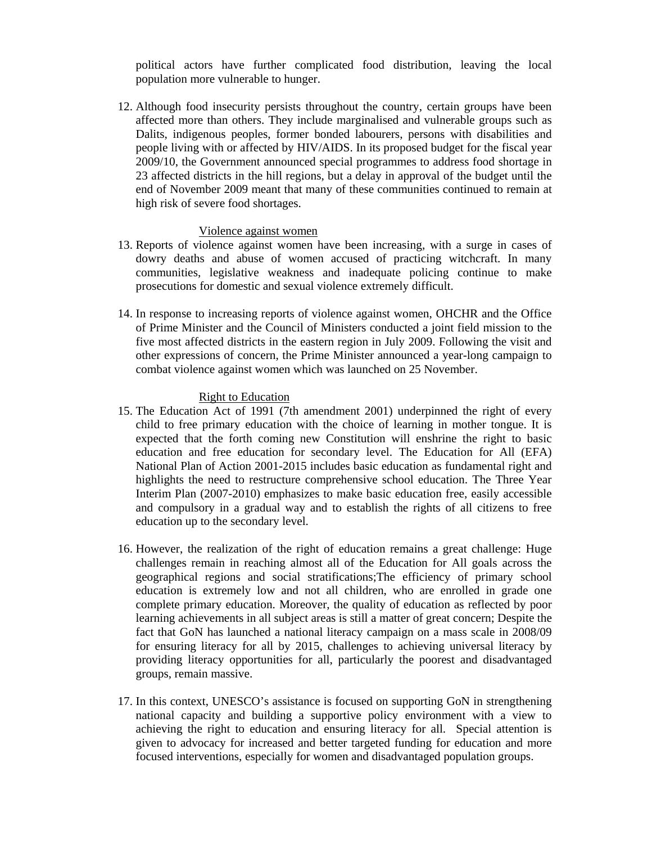political actors have further complicated food distribution, leaving the local population more vulnerable to hunger.

12. Although food insecurity persists throughout the country, certain groups have been affected more than others. They include marginalised and vulnerable groups such as Dalits, indigenous peoples, former bonded labourers, persons with disabilities and people living with or affected by HIV/AIDS. In its proposed budget for the fiscal year 2009/10, the Government announced special programmes to address food shortage in 23 affected districts in the hill regions, but a delay in approval of the budget until the end of November 2009 meant that many of these communities continued to remain at high risk of severe food shortages.

#### Violence against women

- 13. Reports of violence against women have been increasing, with a surge in cases of dowry deaths and abuse of women accused of practicing witchcraft. In many communities, legislative weakness and inadequate policing continue to make prosecutions for domestic and sexual violence extremely difficult.
- 14. In response to increasing reports of violence against women, OHCHR and the Office of Prime Minister and the Council of Ministers conducted a joint field mission to the five most affected districts in the eastern region in July 2009. Following the visit and other expressions of concern, the Prime Minister announced a year-long campaign to combat violence against women which was launched on 25 November.

### Right to Education

- 15. The Education Act of 1991 (7th amendment 2001) underpinned the right of every child to free primary education with the choice of learning in mother tongue. It is expected that the forth coming new Constitution will enshrine the right to basic education and free education for secondary level. The Education for All (EFA) National Plan of Action 2001-2015 includes basic education as fundamental right and highlights the need to restructure comprehensive school education. The Three Year Interim Plan (2007-2010) emphasizes to make basic education free, easily accessible and compulsory in a gradual way and to establish the rights of all citizens to free education up to the secondary level.
- 16. However, the realization of the right of education remains a great challenge: Huge challenges remain in reaching almost all of the Education for All goals across the geographical regions and social stratifications;The efficiency of primary school education is extremely low and not all children, who are enrolled in grade one complete primary education. Moreover, the quality of education as reflected by poor learning achievements in all subject areas is still a matter of great concern; Despite the fact that GoN has launched a national literacy campaign on a mass scale in 2008/09 for ensuring literacy for all by 2015, challenges to achieving universal literacy by providing literacy opportunities for all, particularly the poorest and disadvantaged groups, remain massive.
- 17. In this context, UNESCO's assistance is focused on supporting GoN in strengthening national capacity and building a supportive policy environment with a view to achieving the right to education and ensuring literacy for all. Special attention is given to advocacy for increased and better targeted funding for education and more focused interventions, especially for women and disadvantaged population groups.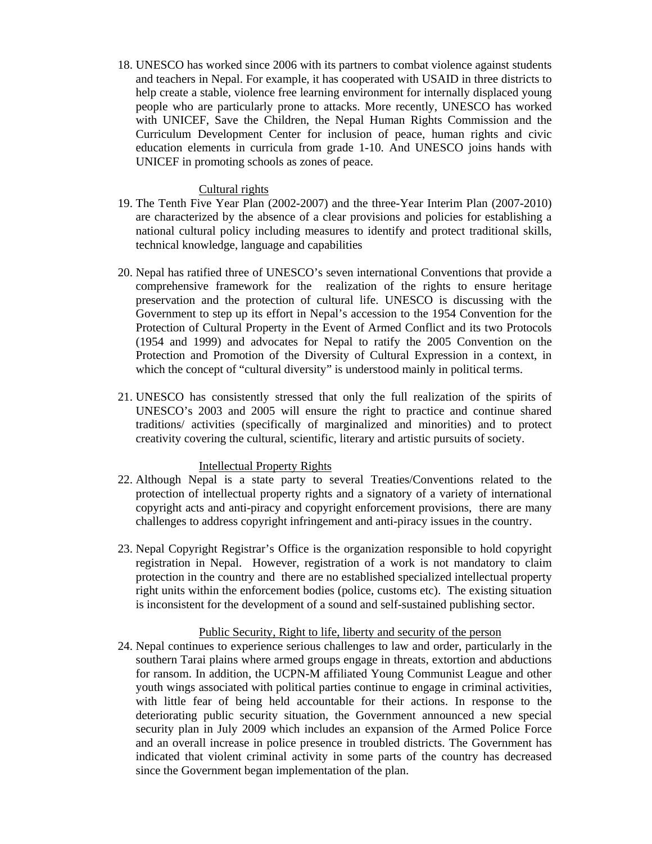18. UNESCO has worked since 2006 with its partners to combat violence against students and teachers in Nepal. For example, it has cooperated with USAID in three districts to help create a stable, violence free learning environment for internally displaced young people who are particularly prone to attacks. More recently, UNESCO has worked with UNICEF, Save the Children, the Nepal Human Rights Commission and the Curriculum Development Center for inclusion of peace, human rights and civic education elements in curricula from grade 1-10. And UNESCO joins hands with UNICEF in promoting schools as zones of peace.

### Cultural rights

- 19. The Tenth Five Year Plan (2002-2007) and the three-Year Interim Plan (2007-2010) are characterized by the absence of a clear provisions and policies for establishing a national cultural policy including measures to identify and protect traditional skills, technical knowledge, language and capabilities
- 20. Nepal has ratified three of UNESCO's seven international Conventions that provide a comprehensive framework for the realization of the rights to ensure heritage preservation and the protection of cultural life. UNESCO is discussing with the Government to step up its effort in Nepal's accession to the 1954 Convention for the Protection of Cultural Property in the Event of Armed Conflict and its two Protocols (1954 and 1999) and advocates for Nepal to ratify the 2005 Convention on the Protection and Promotion of the Diversity of Cultural Expression in a context, in which the concept of "cultural diversity" is understood mainly in political terms.
- 21. UNESCO has consistently stressed that only the full realization of the spirits of UNESCO's 2003 and 2005 will ensure the right to practice and continue shared traditions/ activities (specifically of marginalized and minorities) and to protect creativity covering the cultural, scientific, literary and artistic pursuits of society.

## Intellectual Property Rights

- 22. Although Nepal is a state party to several Treaties/Conventions related to the protection of intellectual property rights and a signatory of a variety of international copyright acts and anti-piracy and copyright enforcement provisions, there are many challenges to address copyright infringement and anti-piracy issues in the country.
- 23. Nepal Copyright Registrar's Office is the organization responsible to hold copyright registration in Nepal. However, registration of a work is not mandatory to claim protection in the country and there are no established specialized intellectual property right units within the enforcement bodies (police, customs etc). The existing situation is inconsistent for the development of a sound and self-sustained publishing sector.

#### Public Security, Right to life, liberty and security of the person

24. Nepal continues to experience serious challenges to law and order, particularly in the southern Tarai plains where armed groups engage in threats, extortion and abductions for ransom. In addition, the UCPN-M affiliated Young Communist League and other youth wings associated with political parties continue to engage in criminal activities, with little fear of being held accountable for their actions. In response to the deteriorating public security situation, the Government announced a new special security plan in July 2009 which includes an expansion of the Armed Police Force and an overall increase in police presence in troubled districts. The Government has indicated that violent criminal activity in some parts of the country has decreased since the Government began implementation of the plan.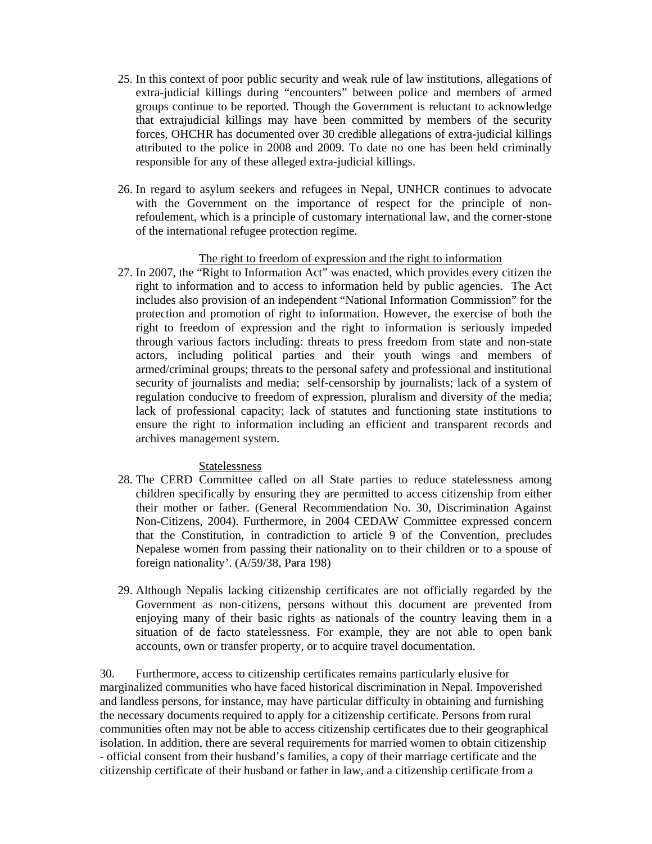- 25. In this context of poor public security and weak rule of law institutions, allegations of extra-judicial killings during "encounters" between police and members of armed groups continue to be reported. Though the Government is reluctant to acknowledge that extrajudicial killings may have been committed by members of the security forces, OHCHR has documented over 30 credible allegations of extra-judicial killings attributed to the police in 2008 and 2009. To date no one has been held criminally responsible for any of these alleged extra-judicial killings.
- 26. In regard to asylum seekers and refugees in Nepal, UNHCR continues to advocate with the Government on the importance of respect for the principle of nonrefoulement, which is a principle of customary international law, and the corner-stone of the international refugee protection regime.

### The right to freedom of expression and the right to information

27. In 2007, the "Right to Information Act" was enacted, which provides every citizen the right to information and to access to information held by public agencies. The Act includes also provision of an independent "National Information Commission" for the protection and promotion of right to information. However, the exercise of both the right to freedom of expression and the right to information is seriously impeded through various factors including: threats to press freedom from state and non-state actors, including political parties and their youth wings and members of armed/criminal groups; threats to the personal safety and professional and institutional security of journalists and media; self-censorship by journalists; lack of a system of regulation conducive to freedom of expression, pluralism and diversity of the media; lack of professional capacity; lack of statutes and functioning state institutions to ensure the right to information including an efficient and transparent records and archives management system.

## Statelessness

- 28. The CERD Committee called on all State parties to reduce statelessness among children specifically by ensuring they are permitted to access citizenship from either their mother or father. (General Recommendation No. 30, Discrimination Against Non-Citizens, 2004). Furthermore, in 2004 CEDAW Committee expressed concern that the Constitution, in contradiction to article 9 of the Convention, precludes Nepalese women from passing their nationality on to their children or to a spouse of foreign nationality'. (A/59/38, Para 198)
- 29. Although Nepalis lacking citizenship certificates are not officially regarded by the Government as non-citizens, persons without this document are prevented from enjoying many of their basic rights as nationals of the country leaving them in a situation of de facto statelessness. For example, they are not able to open bank accounts, own or transfer property, or to acquire travel documentation.

30. Furthermore, access to citizenship certificates remains particularly elusive for marginalized communities who have faced historical discrimination in Nepal. Impoverished and landless persons, for instance, may have particular difficulty in obtaining and furnishing the necessary documents required to apply for a citizenship certificate. Persons from rural communities often may not be able to access citizenship certificates due to their geographical isolation. In addition, there are several requirements for married women to obtain citizenship - official consent from their husband's families, a copy of their marriage certificate and the citizenship certificate of their husband or father in law, and a citizenship certificate from a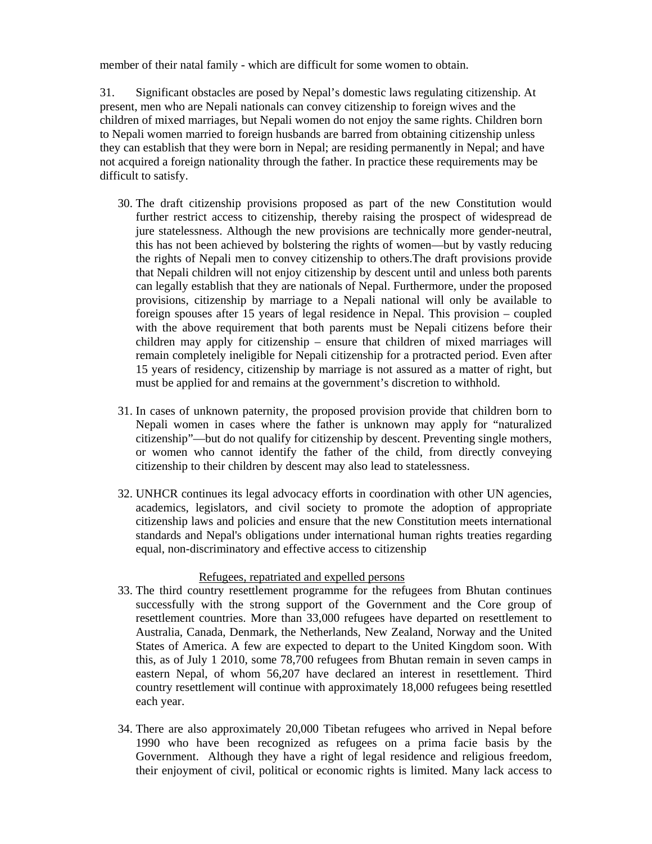member of their natal family - which are difficult for some women to obtain.

31. Significant obstacles are posed by Nepal's domestic laws regulating citizenship. At present, men who are Nepali nationals can convey citizenship to foreign wives and the children of mixed marriages, but Nepali women do not enjoy the same rights. Children born to Nepali women married to foreign husbands are barred from obtaining citizenship unless they can establish that they were born in Nepal; are residing permanently in Nepal; and have not acquired a foreign nationality through the father. In practice these requirements may be difficult to satisfy.

- 30. The draft citizenship provisions proposed as part of the new Constitution would further restrict access to citizenship, thereby raising the prospect of widespread de jure statelessness. Although the new provisions are technically more gender-neutral, this has not been achieved by bolstering the rights of women—but by vastly reducing the rights of Nepali men to convey citizenship to others.The draft provisions provide that Nepali children will not enjoy citizenship by descent until and unless both parents can legally establish that they are nationals of Nepal. Furthermore, under the proposed provisions, citizenship by marriage to a Nepali national will only be available to foreign spouses after 15 years of legal residence in Nepal. This provision – coupled with the above requirement that both parents must be Nepali citizens before their children may apply for citizenship – ensure that children of mixed marriages will remain completely ineligible for Nepali citizenship for a protracted period. Even after 15 years of residency, citizenship by marriage is not assured as a matter of right, but must be applied for and remains at the government's discretion to withhold.
- 31. In cases of unknown paternity, the proposed provision provide that children born to Nepali women in cases where the father is unknown may apply for "naturalized citizenship"—but do not qualify for citizenship by descent. Preventing single mothers, or women who cannot identify the father of the child, from directly conveying citizenship to their children by descent may also lead to statelessness.
- 32. UNHCR continues its legal advocacy efforts in coordination with other UN agencies, academics, legislators, and civil society to promote the adoption of appropriate citizenship laws and policies and ensure that the new Constitution meets international standards and Nepal's obligations under international human rights treaties regarding equal, non-discriminatory and effective access to citizenship

## Refugees, repatriated and expelled persons

- 33. The third country resettlement programme for the refugees from Bhutan continues successfully with the strong support of the Government and the Core group of resettlement countries. More than 33,000 refugees have departed on resettlement to Australia, Canada, Denmark, the Netherlands, New Zealand, Norway and the United States of America. A few are expected to depart to the United Kingdom soon. With this, as of July 1 2010, some 78,700 refugees from Bhutan remain in seven camps in eastern Nepal, of whom 56,207 have declared an interest in resettlement. Third country resettlement will continue with approximately 18,000 refugees being resettled each year.
- 34. There are also approximately 20,000 Tibetan refugees who arrived in Nepal before 1990 who have been recognized as refugees on a prima facie basis by the Government. Although they have a right of legal residence and religious freedom, their enjoyment of civil, political or economic rights is limited. Many lack access to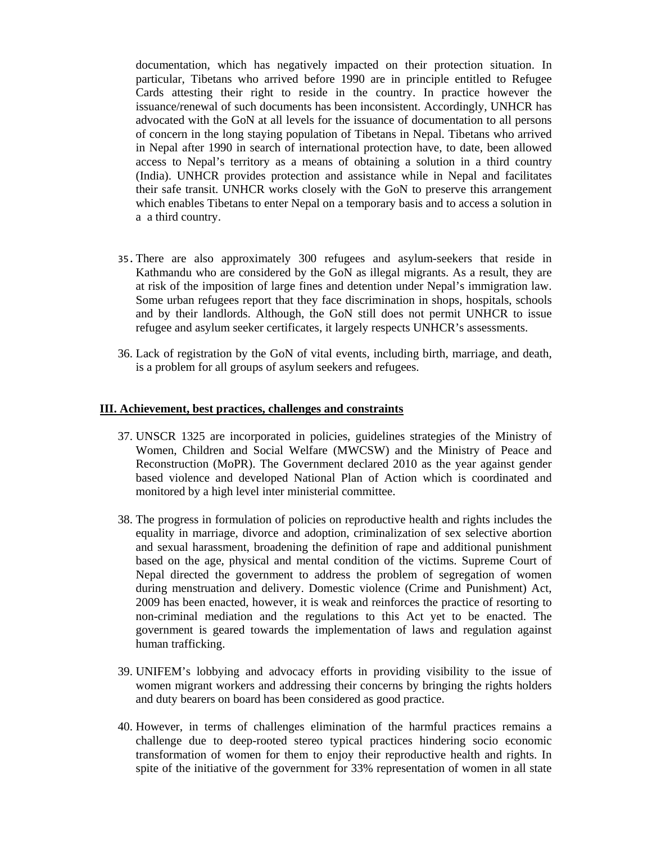documentation, which has negatively impacted on their protection situation. In particular, Tibetans who arrived before 1990 are in principle entitled to Refugee Cards attesting their right to reside in the country. In practice however the issuance/renewal of such documents has been inconsistent. Accordingly, UNHCR has advocated with the GoN at all levels for the issuance of documentation to all persons of concern in the long staying population of Tibetans in Nepal. Tibetans who arrived in Nepal after 1990 in search of international protection have, to date, been allowed access to Nepal's territory as a means of obtaining a solution in a third country (India). UNHCR provides protection and assistance while in Nepal and facilitates their safe transit. UNHCR works closely with the GoN to preserve this arrangement which enables Tibetans to enter Nepal on a temporary basis and to access a solution in a a third country.

- 35.There are also approximately 300 refugees and asylum-seekers that reside in Kathmandu who are considered by the GoN as illegal migrants. As a result, they are at risk of the imposition of large fines and detention under Nepal's immigration law. Some urban refugees report that they face discrimination in shops, hospitals, schools and by their landlords. Although, the GoN still does not permit UNHCR to issue refugee and asylum seeker certificates, it largely respects UNHCR's assessments.
- 36. Lack of registration by the GoN of vital events, including birth, marriage, and death, is a problem for all groups of asylum seekers and refugees.

#### **III. Achievement, best practices, challenges and constraints**

- 37. UNSCR 1325 are incorporated in policies, guidelines strategies of the Ministry of Women, Children and Social Welfare (MWCSW) and the Ministry of Peace and Reconstruction (MoPR). The Government declared 2010 as the year against gender based violence and developed National Plan of Action which is coordinated and monitored by a high level inter ministerial committee.
- 38. The progress in formulation of policies on reproductive health and rights includes the equality in marriage, divorce and adoption, criminalization of sex selective abortion and sexual harassment, broadening the definition of rape and additional punishment based on the age, physical and mental condition of the victims. Supreme Court of Nepal directed the government to address the problem of segregation of women during menstruation and delivery. Domestic violence (Crime and Punishment) Act, 2009 has been enacted, however, it is weak and reinforces the practice of resorting to non-criminal mediation and the regulations to this Act yet to be enacted. The government is geared towards the implementation of laws and regulation against human trafficking.
- 39. UNIFEM's lobbying and advocacy efforts in providing visibility to the issue of women migrant workers and addressing their concerns by bringing the rights holders and duty bearers on board has been considered as good practice.
- 40. However, in terms of challenges elimination of the harmful practices remains a challenge due to deep-rooted stereo typical practices hindering socio economic transformation of women for them to enjoy their reproductive health and rights. In spite of the initiative of the government for 33% representation of women in all state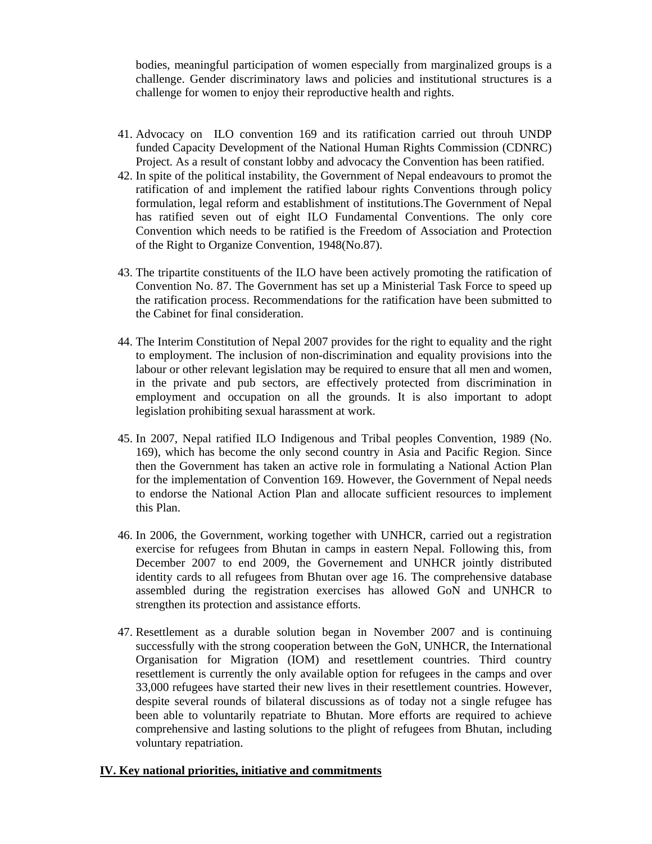bodies, meaningful participation of women especially from marginalized groups is a challenge. Gender discriminatory laws and policies and institutional structures is a challenge for women to enjoy their reproductive health and rights.

- 41. Advocacy on ILO convention 169 and its ratification carried out throuh UNDP funded Capacity Development of the National Human Rights Commission (CDNRC) Project. As a result of constant lobby and advocacy the Convention has been ratified.
- 42. In spite of the political instability, the Government of Nepal endeavours to promot the ratification of and implement the ratified labour rights Conventions through policy formulation, legal reform and establishment of institutions.The Government of Nepal has ratified seven out of eight ILO Fundamental Conventions. The only core Convention which needs to be ratified is the Freedom of Association and Protection of the Right to Organize Convention, 1948(No.87).
- 43. The tripartite constituents of the ILO have been actively promoting the ratification of Convention No. 87. The Government has set up a Ministerial Task Force to speed up the ratification process. Recommendations for the ratification have been submitted to the Cabinet for final consideration.
- 44. The Interim Constitution of Nepal 2007 provides for the right to equality and the right to employment. The inclusion of non-discrimination and equality provisions into the labour or other relevant legislation may be required to ensure that all men and women, in the private and pub sectors, are effectively protected from discrimination in employment and occupation on all the grounds. It is also important to adopt legislation prohibiting sexual harassment at work.
- 45. In 2007, Nepal ratified ILO Indigenous and Tribal peoples Convention, 1989 (No. 169), which has become the only second country in Asia and Pacific Region. Since then the Government has taken an active role in formulating a National Action Plan for the implementation of Convention 169. However, the Government of Nepal needs to endorse the National Action Plan and allocate sufficient resources to implement this Plan.
- 46. In 2006, the Government, working together with UNHCR, carried out a registration exercise for refugees from Bhutan in camps in eastern Nepal. Following this, from December 2007 to end 2009, the Governement and UNHCR jointly distributed identity cards to all refugees from Bhutan over age 16. The comprehensive database assembled during the registration exercises has allowed GoN and UNHCR to strengthen its protection and assistance efforts.
- 47. Resettlement as a durable solution began in November 2007 and is continuing successfully with the strong cooperation between the GoN, UNHCR, the International Organisation for Migration (IOM) and resettlement countries. Third country resettlement is currently the only available option for refugees in the camps and over 33,000 refugees have started their new lives in their resettlement countries. However, despite several rounds of bilateral discussions as of today not a single refugee has been able to voluntarily repatriate to Bhutan. More efforts are required to achieve comprehensive and lasting solutions to the plight of refugees from Bhutan, including voluntary repatriation.

## **IV. Key national priorities, initiative and commitments**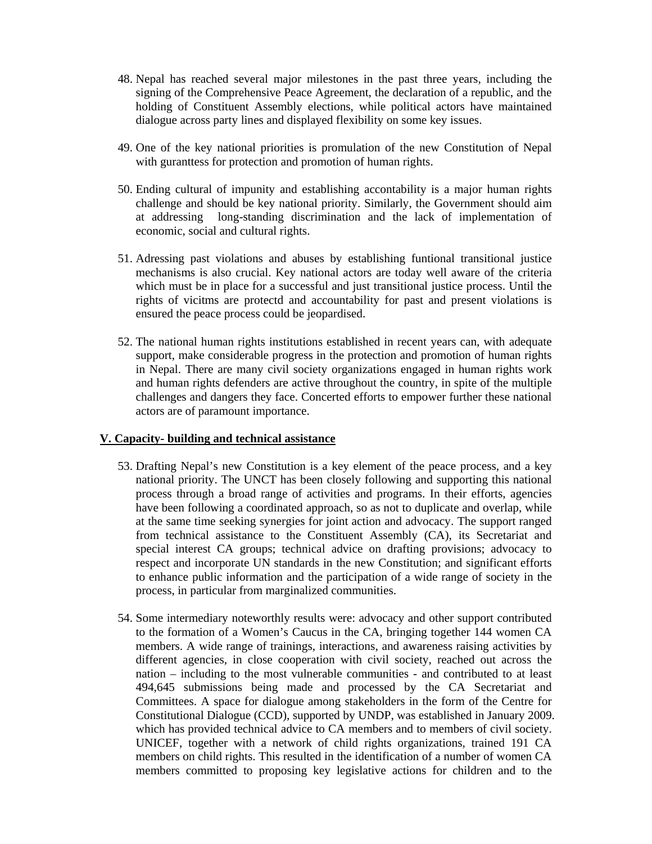- 48. Nepal has reached several major milestones in the past three years, including the signing of the Comprehensive Peace Agreement, the declaration of a republic, and the holding of Constituent Assembly elections, while political actors have maintained dialogue across party lines and displayed flexibility on some key issues.
- 49. One of the key national priorities is promulation of the new Constitution of Nepal with guranttess for protection and promotion of human rights.
- 50. Ending cultural of impunity and establishing accontability is a major human rights challenge and should be key national priority. Similarly, the Government should aim at addressing long-standing discrimination and the lack of implementation of economic, social and cultural rights.
- 51. Adressing past violations and abuses by establishing funtional transitional justice mechanisms is also crucial. Key national actors are today well aware of the criteria which must be in place for a successful and just transitional justice process. Until the rights of vicitms are protectd and accountability for past and present violations is ensured the peace process could be jeopardised.
- 52. The national human rights institutions established in recent years can, with adequate support, make considerable progress in the protection and promotion of human rights in Nepal. There are many civil society organizations engaged in human rights work and human rights defenders are active throughout the country, in spite of the multiple challenges and dangers they face. Concerted efforts to empower further these national actors are of paramount importance.

## **V. Capacity- building and technical assistance**

- 53. Drafting Nepal's new Constitution is a key element of the peace process, and a key national priority. The UNCT has been closely following and supporting this national process through a broad range of activities and programs. In their efforts, agencies have been following a coordinated approach, so as not to duplicate and overlap, while at the same time seeking synergies for joint action and advocacy. The support ranged from technical assistance to the Constituent Assembly (CA), its Secretariat and special interest CA groups; technical advice on drafting provisions; advocacy to respect and incorporate UN standards in the new Constitution; and significant efforts to enhance public information and the participation of a wide range of society in the process, in particular from marginalized communities.
- 54. Some intermediary noteworthly results were: advocacy and other support contributed to the formation of a Women's Caucus in the CA, bringing together 144 women CA members. A wide range of trainings, interactions, and awareness raising activities by different agencies, in close cooperation with civil society, reached out across the nation – including to the most vulnerable communities - and contributed to at least 494,645 submissions being made and processed by the CA Secretariat and Committees. A space for dialogue among stakeholders in the form of the Centre for Constitutional Dialogue (CCD), supported by UNDP, was established in January 2009. which has provided technical advice to CA members and to members of civil society. UNICEF, together with a network of child rights organizations, trained 191 CA members on child rights. This resulted in the identification of a number of women CA members committed to proposing key legislative actions for children and to the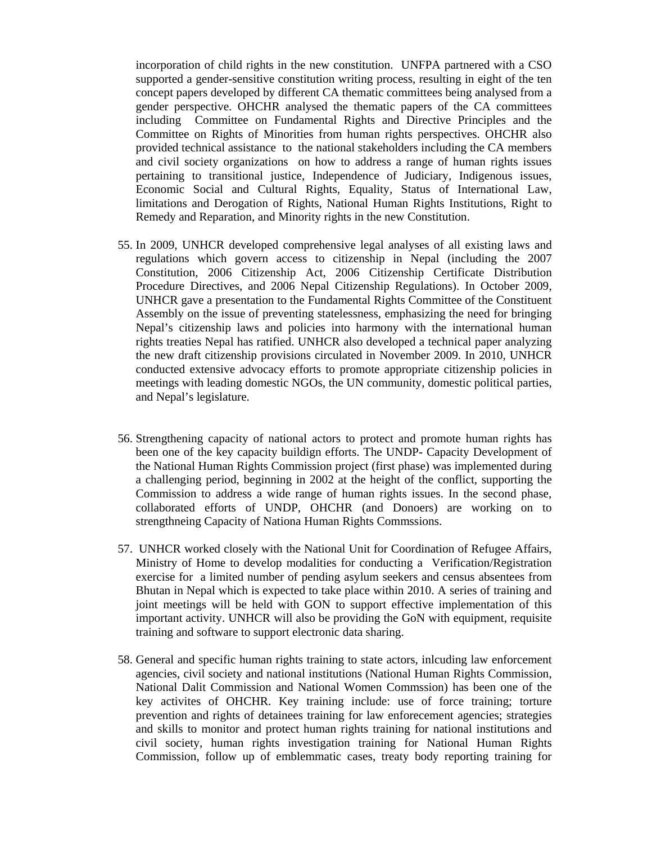incorporation of child rights in the new constitution. UNFPA partnered with a CSO supported a gender-sensitive constitution writing process, resulting in eight of the ten concept papers developed by different CA thematic committees being analysed from a gender perspective. OHCHR analysed the thematic papers of the CA committees including Committee on Fundamental Rights and Directive Principles and the Committee on Rights of Minorities from human rights perspectives. OHCHR also provided technical assistance to the national stakeholders including the CA members and civil society organizations on how to address a range of human rights issues pertaining to transitional justice, Independence of Judiciary, Indigenous issues, Economic Social and Cultural Rights, Equality, Status of International Law, limitations and Derogation of Rights, National Human Rights Institutions, Right to Remedy and Reparation, and Minority rights in the new Constitution.

- 55. In 2009, UNHCR developed comprehensive legal analyses of all existing laws and regulations which govern access to citizenship in Nepal (including the 2007 Constitution, 2006 Citizenship Act, 2006 Citizenship Certificate Distribution Procedure Directives, and 2006 Nepal Citizenship Regulations). In October 2009, UNHCR gave a presentation to the Fundamental Rights Committee of the Constituent Assembly on the issue of preventing statelessness, emphasizing the need for bringing Nepal's citizenship laws and policies into harmony with the international human rights treaties Nepal has ratified. UNHCR also developed a technical paper analyzing the new draft citizenship provisions circulated in November 2009. In 2010, UNHCR conducted extensive advocacy efforts to promote appropriate citizenship policies in meetings with leading domestic NGOs, the UN community, domestic political parties, and Nepal's legislature.
- 56. Strengthening capacity of national actors to protect and promote human rights has been one of the key capacity buildign efforts. The UNDP- Capacity Development of the National Human Rights Commission project (first phase) was implemented during a challenging period, beginning in 2002 at the height of the conflict, supporting the Commission to address a wide range of human rights issues. In the second phase, collaborated efforts of UNDP, OHCHR (and Donoers) are working on to strengthneing Capacity of Nationa Human Rights Commssions.
- 57. UNHCR worked closely with the National Unit for Coordination of Refugee Affairs, Ministry of Home to develop modalities for conducting a Verification/Registration exercise for a limited number of pending asylum seekers and census absentees from Bhutan in Nepal which is expected to take place within 2010. A series of training and joint meetings will be held with GON to support effective implementation of this important activity. UNHCR will also be providing the GoN with equipment, requisite training and software to support electronic data sharing.
- 58. General and specific human rights training to state actors, inlcuding law enforcement agencies, civil society and national institutions (National Human Rights Commission, National Dalit Commission and National Women Commssion) has been one of the key activites of OHCHR. Key training include: use of force training; torture prevention and rights of detainees training for law enforecement agencies; strategies and skills to monitor and protect human rights training for national institutions and civil society, human rights investigation training for National Human Rights Commission, follow up of emblemmatic cases, treaty body reporting training for